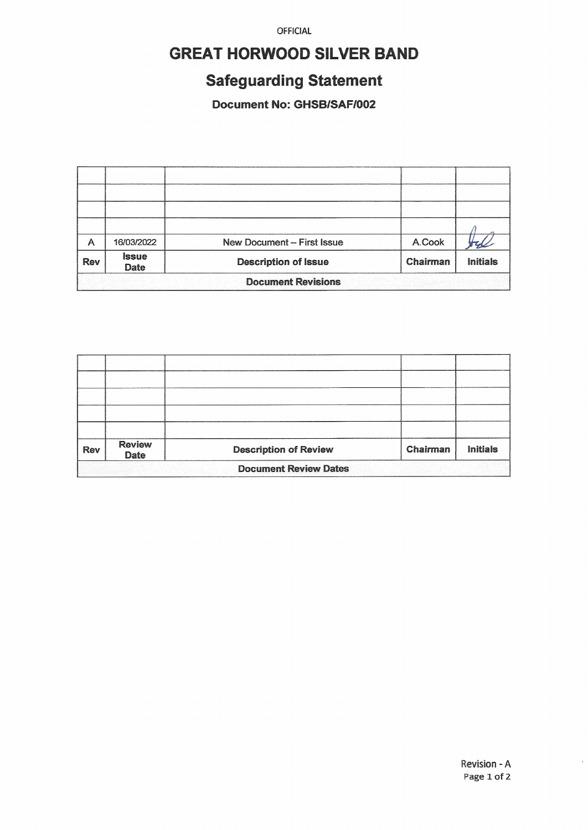**OFFICIAL** 

## **GREAT HORWOOD SILVER BAND**

# **Safeguarding Statement**

Document No: GHSB/SAF/002

| A                         | 16/03/2022                  | New Document - First Issue  | A.Cook   |                 |  |  |
|---------------------------|-----------------------------|-----------------------------|----------|-----------------|--|--|
| <b>Rev</b>                | <b>Issue</b><br><b>Date</b> | <b>Description of Issue</b> | Chairman | <b>Initials</b> |  |  |
| <b>Document Revisions</b> |                             |                             |          |                 |  |  |

| <b>Rev</b>                   | <b>Review</b><br><b>Date</b> | <b>Description of Review</b> | Chairman | <b>Initials</b> |  |  |
|------------------------------|------------------------------|------------------------------|----------|-----------------|--|--|
| <b>Document Review Dates</b> |                              |                              |          |                 |  |  |